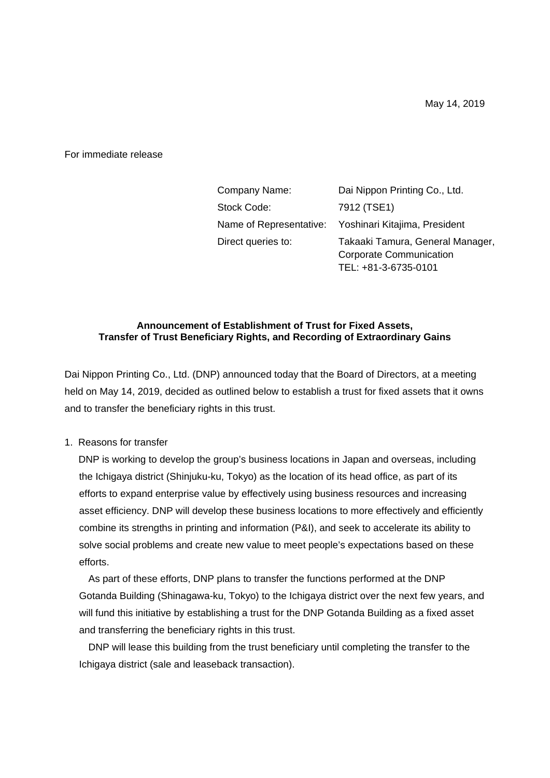For immediate release

| Company Name:      | Dai Nippon Printing Co., Ltd.                                                              |  |
|--------------------|--------------------------------------------------------------------------------------------|--|
| Stock Code:        | 7912 (TSE1)                                                                                |  |
|                    | Name of Representative: Yoshinari Kitajima, President                                      |  |
| Direct queries to: | Takaaki Tamura, General Manager,<br><b>Corporate Communication</b><br>TEL: +81-3-6735-0101 |  |

#### **Announcement of Establishment of Trust for Fixed Assets, Transfer of Trust Beneficiary Rights, and Recording of Extraordinary Gains**

Dai Nippon Printing Co., Ltd. (DNP) announced today that the Board of Directors, at a meeting held on May 14, 2019, decided as outlined below to establish a trust for fixed assets that it owns and to transfer the beneficiary rights in this trust.

1. Reasons for transfer

 DNP is working to develop the group's business locations in Japan and overseas, including the Ichigaya district (Shinjuku-ku, Tokyo) as the location of its head office, as part of its efforts to expand enterprise value by effectively using business resources and increasing asset efficiency. DNP will develop these business locations to more effectively and efficiently combine its strengths in printing and information (P&I), and seek to accelerate its ability to solve social problems and create new value to meet people's expectations based on these efforts.

As part of these efforts, DNP plans to transfer the functions performed at the DNP Gotanda Building (Shinagawa-ku, Tokyo) to the Ichigaya district over the next few years, and will fund this initiative by establishing a trust for the DNP Gotanda Building as a fixed asset and transferring the beneficiary rights in this trust.

DNP will lease this building from the trust beneficiary until completing the transfer to the Ichigaya district (sale and leaseback transaction).